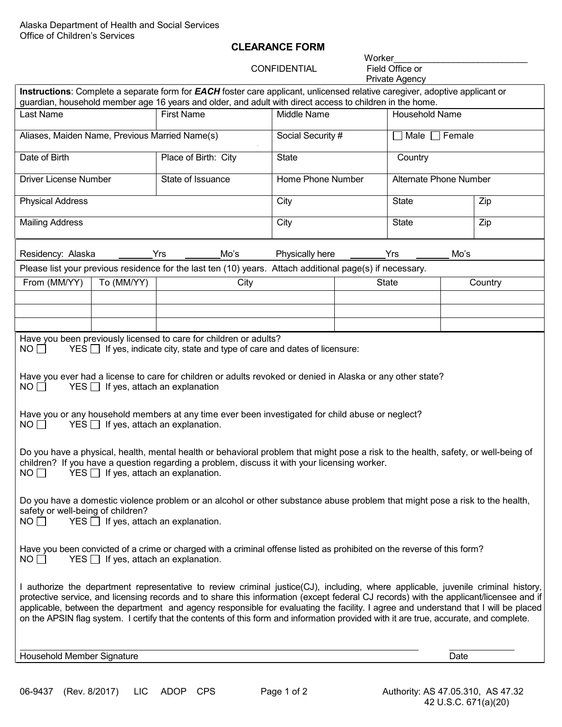## **CLEARANCE FORM**

**CONFIDENTIAL** 

Worker\_\_\_\_\_\_\_\_\_\_\_\_\_\_\_\_\_\_\_\_\_\_\_\_\_\_\_ Private Agency

|                                                                                                                                                                                                                                                                                                                                                                                                                                                                                                                                                                                                                                                                                                                                                                                                                                                                                                                                                                                                                                                                                                                                                                                     |                    | Instructions: Complete a separate form for <b>EACH</b> foster care applicant, unlicensed relative caregiver, adoptive applicant or<br>guardian, household member age 16 years and older, and adult with direct access to children in the home. |                   |              |                               |         |  |  |
|-------------------------------------------------------------------------------------------------------------------------------------------------------------------------------------------------------------------------------------------------------------------------------------------------------------------------------------------------------------------------------------------------------------------------------------------------------------------------------------------------------------------------------------------------------------------------------------------------------------------------------------------------------------------------------------------------------------------------------------------------------------------------------------------------------------------------------------------------------------------------------------------------------------------------------------------------------------------------------------------------------------------------------------------------------------------------------------------------------------------------------------------------------------------------------------|--------------------|------------------------------------------------------------------------------------------------------------------------------------------------------------------------------------------------------------------------------------------------|-------------------|--------------|-------------------------------|---------|--|--|
| <b>Last Name</b>                                                                                                                                                                                                                                                                                                                                                                                                                                                                                                                                                                                                                                                                                                                                                                                                                                                                                                                                                                                                                                                                                                                                                                    |                    | <b>First Name</b>                                                                                                                                                                                                                              | Middle Name       |              | Household Name                |         |  |  |
| Aliases, Maiden Name, Previous Married Name(s)                                                                                                                                                                                                                                                                                                                                                                                                                                                                                                                                                                                                                                                                                                                                                                                                                                                                                                                                                                                                                                                                                                                                      |                    |                                                                                                                                                                                                                                                | Social Security # |              | Female<br>Male $\Box$         |         |  |  |
| Date of Birth                                                                                                                                                                                                                                                                                                                                                                                                                                                                                                                                                                                                                                                                                                                                                                                                                                                                                                                                                                                                                                                                                                                                                                       |                    | Place of Birth: City                                                                                                                                                                                                                           | <b>State</b>      |              | Country                       |         |  |  |
| Driver License Number                                                                                                                                                                                                                                                                                                                                                                                                                                                                                                                                                                                                                                                                                                                                                                                                                                                                                                                                                                                                                                                                                                                                                               |                    | State of Issuance                                                                                                                                                                                                                              | Home Phone Number |              | <b>Alternate Phone Number</b> |         |  |  |
| <b>Physical Address</b>                                                                                                                                                                                                                                                                                                                                                                                                                                                                                                                                                                                                                                                                                                                                                                                                                                                                                                                                                                                                                                                                                                                                                             |                    |                                                                                                                                                                                                                                                | City              |              | <b>State</b><br>Zip           |         |  |  |
| <b>Mailing Address</b>                                                                                                                                                                                                                                                                                                                                                                                                                                                                                                                                                                                                                                                                                                                                                                                                                                                                                                                                                                                                                                                                                                                                                              |                    |                                                                                                                                                                                                                                                | City              |              | <b>State</b>                  | Zip     |  |  |
| Yrs<br>Mo's<br>Residency: Alaska                                                                                                                                                                                                                                                                                                                                                                                                                                                                                                                                                                                                                                                                                                                                                                                                                                                                                                                                                                                                                                                                                                                                                    |                    |                                                                                                                                                                                                                                                | Physically here   |              | Yrs<br>Mo's                   |         |  |  |
|                                                                                                                                                                                                                                                                                                                                                                                                                                                                                                                                                                                                                                                                                                                                                                                                                                                                                                                                                                                                                                                                                                                                                                                     |                    | Please list your previous residence for the last ten (10) years. Attach additional page(s) if necessary.                                                                                                                                       |                   |              |                               |         |  |  |
| From (MM/YY)                                                                                                                                                                                                                                                                                                                                                                                                                                                                                                                                                                                                                                                                                                                                                                                                                                                                                                                                                                                                                                                                                                                                                                        | To (MM/YY)<br>City |                                                                                                                                                                                                                                                |                   | <b>State</b> |                               | Country |  |  |
|                                                                                                                                                                                                                                                                                                                                                                                                                                                                                                                                                                                                                                                                                                                                                                                                                                                                                                                                                                                                                                                                                                                                                                                     |                    |                                                                                                                                                                                                                                                |                   |              |                               |         |  |  |
|                                                                                                                                                                                                                                                                                                                                                                                                                                                                                                                                                                                                                                                                                                                                                                                                                                                                                                                                                                                                                                                                                                                                                                                     |                    |                                                                                                                                                                                                                                                |                   |              |                               |         |  |  |
|                                                                                                                                                                                                                                                                                                                                                                                                                                                                                                                                                                                                                                                                                                                                                                                                                                                                                                                                                                                                                                                                                                                                                                                     |                    |                                                                                                                                                                                                                                                |                   |              |                               |         |  |  |
| Have you been previously licensed to care for children or adults?<br>$YES$ If yes, indicate city, state and type of care and dates of licensure:<br>$NO$ $\Box$<br>Have you ever had a license to care for children or adults revoked or denied in Alaska or any other state?<br>NO<br>$YES$ If yes, attach an explanation<br>Have you or any household members at any time ever been investigated for child abuse or neglect?<br>$YES$ If yes, attach an explanation.<br>$NO \Box$<br>Do you have a physical, health, mental health or behavioral problem that might pose a risk to the health, safety, or well-being of<br>children? If you have a question regarding a problem, discuss it with your licensing worker.<br>$YES$ If yes, attach an explanation.<br>$NO$ $\Box$<br>Do you have a domestic violence problem or an alcohol or other substance abuse problem that might pose a risk to the health,<br>safety or well-being of children?<br>$YES$ If yes, attach an explanation.<br>NO<br>Have you been convicted of a crime or charged with a criminal offense listed as prohibited on the reverse of this form?<br>$YES$ If yes, attach an explanation.<br>$NO \Box$ |                    |                                                                                                                                                                                                                                                |                   |              |                               |         |  |  |
| I authorize the department representative to review criminal justice(CJ), including, where applicable, juvenile criminal history,<br>protective service, and licensing records and to share this information (except federal CJ records) with the applicant/licensee and if<br>applicable, between the department and agency responsible for evaluating the facility. I agree and understand that I will be placed<br>on the APSIN flag system. I certify that the contents of this form and information provided with it are true, accurate, and complete.                                                                                                                                                                                                                                                                                                                                                                                                                                                                                                                                                                                                                         |                    |                                                                                                                                                                                                                                                |                   |              |                               |         |  |  |
| Household Member Signature                                                                                                                                                                                                                                                                                                                                                                                                                                                                                                                                                                                                                                                                                                                                                                                                                                                                                                                                                                                                                                                                                                                                                          |                    |                                                                                                                                                                                                                                                |                   |              |                               | Date    |  |  |